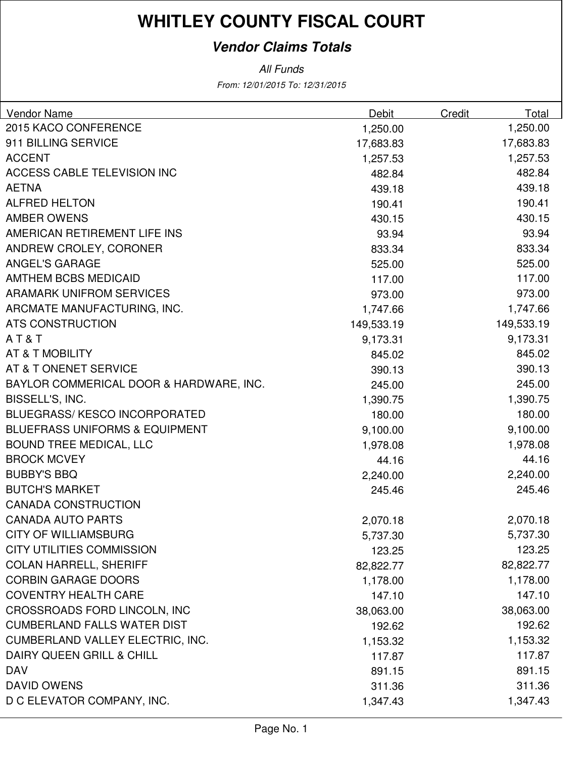### **Vendor Claims Totals**

| <b>Vendor Name</b>                        | Debit      | Credit | Total      |
|-------------------------------------------|------------|--------|------------|
| 2015 KACO CONFERENCE                      | 1,250.00   |        | 1,250.00   |
| 911 BILLING SERVICE                       | 17,683.83  |        | 17,683.83  |
| <b>ACCENT</b>                             | 1,257.53   |        | 1,257.53   |
| <b>ACCESS CABLE TELEVISION INC</b>        | 482.84     |        | 482.84     |
| <b>AETNA</b>                              | 439.18     |        | 439.18     |
| <b>ALFRED HELTON</b>                      | 190.41     |        | 190.41     |
| <b>AMBER OWENS</b>                        | 430.15     |        | 430.15     |
| AMERICAN RETIREMENT LIFE INS              | 93.94      |        | 93.94      |
| ANDREW CROLEY, CORONER                    | 833.34     |        | 833.34     |
| <b>ANGEL'S GARAGE</b>                     | 525.00     |        | 525.00     |
| <b>AMTHEM BCBS MEDICAID</b>               | 117.00     |        | 117.00     |
| <b>ARAMARK UNIFROM SERVICES</b>           | 973.00     |        | 973.00     |
| ARCMATE MANUFACTURING, INC.               | 1,747.66   |        | 1,747.66   |
| <b>ATS CONSTRUCTION</b>                   | 149,533.19 |        | 149,533.19 |
| AT&T                                      | 9,173.31   |        | 9,173.31   |
| AT & T MOBILITY                           | 845.02     |        | 845.02     |
| AT & T ONENET SERVICE                     | 390.13     |        | 390.13     |
| BAYLOR COMMERICAL DOOR & HARDWARE, INC.   | 245.00     |        | 245.00     |
| BISSELL'S, INC.                           | 1,390.75   |        | 1,390.75   |
| <b>BLUEGRASS/KESCO INCORPORATED</b>       | 180.00     |        | 180.00     |
| <b>BLUEFRASS UNIFORMS &amp; EQUIPMENT</b> | 9,100.00   |        | 9,100.00   |
| BOUND TREE MEDICAL, LLC                   | 1,978.08   |        | 1,978.08   |
| <b>BROCK MCVEY</b>                        | 44.16      |        | 44.16      |
| <b>BUBBY'S BBQ</b>                        | 2,240.00   |        | 2,240.00   |
| <b>BUTCH'S MARKET</b>                     | 245.46     |        | 245.46     |
| <b>CANADA CONSTRUCTION</b>                |            |        |            |
| <b>CANADA AUTO PARTS</b>                  | 2,070.18   |        | 2,070.18   |
| <b>CITY OF WILLIAMSBURG</b>               | 5,737.30   |        | 5,737.30   |
| <b>CITY UTILITIES COMMISSION</b>          | 123.25     |        | 123.25     |
| <b>COLAN HARRELL, SHERIFF</b>             | 82,822.77  |        | 82,822.77  |
| <b>CORBIN GARAGE DOORS</b>                | 1,178.00   |        | 1,178.00   |
| <b>COVENTRY HEALTH CARE</b>               | 147.10     |        | 147.10     |
| CROSSROADS FORD LINCOLN, INC              | 38,063.00  |        | 38,063.00  |
| <b>CUMBERLAND FALLS WATER DIST</b>        | 192.62     |        | 192.62     |
| <b>CUMBERLAND VALLEY ELECTRIC, INC.</b>   | 1,153.32   |        | 1,153.32   |
| DAIRY QUEEN GRILL & CHILL                 | 117.87     |        | 117.87     |
| <b>DAV</b>                                | 891.15     |        | 891.15     |
| <b>DAVID OWENS</b>                        | 311.36     |        | 311.36     |
| D C ELEVATOR COMPANY, INC.                | 1,347.43   |        | 1,347.43   |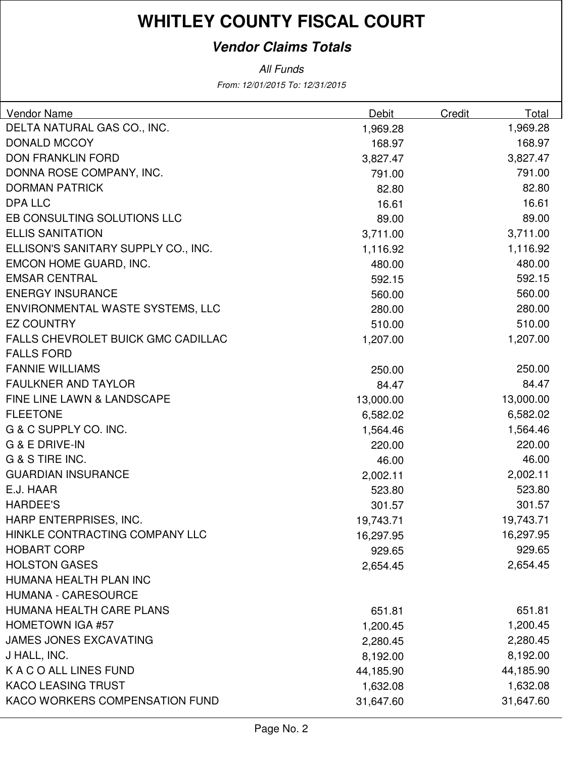### **Vendor Claims Totals**

| Vendor Name                         | Debit     | Credit | Total     |
|-------------------------------------|-----------|--------|-----------|
| DELTA NATURAL GAS CO., INC.         | 1,969.28  |        | 1,969.28  |
| <b>DONALD MCCOY</b>                 | 168.97    |        | 168.97    |
| <b>DON FRANKLIN FORD</b>            | 3,827.47  |        | 3,827.47  |
| DONNA ROSE COMPANY, INC.            | 791.00    |        | 791.00    |
| <b>DORMAN PATRICK</b>               | 82.80     |        | 82.80     |
| <b>DPA LLC</b>                      | 16.61     |        | 16.61     |
| EB CONSULTING SOLUTIONS LLC         | 89.00     |        | 89.00     |
| <b>ELLIS SANITATION</b>             | 3,711.00  |        | 3,711.00  |
| ELLISON'S SANITARY SUPPLY CO., INC. | 1,116.92  |        | 1,116.92  |
| EMCON HOME GUARD, INC.              | 480.00    |        | 480.00    |
| <b>EMSAR CENTRAL</b>                | 592.15    |        | 592.15    |
| <b>ENERGY INSURANCE</b>             | 560.00    |        | 560.00    |
| ENVIRONMENTAL WASTE SYSTEMS, LLC    | 280.00    |        | 280.00    |
| <b>EZ COUNTRY</b>                   | 510.00    |        | 510.00    |
| FALLS CHEVROLET BUICK GMC CADILLAC  | 1,207.00  |        | 1,207.00  |
| <b>FALLS FORD</b>                   |           |        |           |
| <b>FANNIE WILLIAMS</b>              | 250.00    |        | 250.00    |
| <b>FAULKNER AND TAYLOR</b>          | 84.47     |        | 84.47     |
| FINE LINE LAWN & LANDSCAPE          | 13,000.00 |        | 13,000.00 |
| <b>FLEETONE</b>                     | 6,582.02  |        | 6,582.02  |
| G & C SUPPLY CO. INC.               | 1,564.46  |        | 1,564.46  |
| G & E DRIVE-IN                      | 220.00    |        | 220.00    |
| G & S TIRE INC.                     | 46.00     |        | 46.00     |
| <b>GUARDIAN INSURANCE</b>           | 2,002.11  |        | 2,002.11  |
| E.J. HAAR                           | 523.80    |        | 523.80    |
| <b>HARDEE'S</b>                     | 301.57    |        | 301.57    |
| HARP ENTERPRISES, INC.              | 19,743.71 |        | 19,743.71 |
| HINKLE CONTRACTING COMPANY LLC      | 16,297.95 |        | 16,297.95 |
| <b>HOBART CORP</b>                  | 929.65    |        | 929.65    |
| <b>HOLSTON GASES</b>                | 2,654.45  |        | 2,654.45  |
| HUMANA HEALTH PLAN INC              |           |        |           |
| <b>HUMANA - CARESOURCE</b>          |           |        |           |
| HUMANA HEALTH CARE PLANS            | 651.81    |        | 651.81    |
| <b>HOMETOWN IGA #57</b>             | 1,200.45  |        | 1,200.45  |
| <b>JAMES JONES EXCAVATING</b>       | 2,280.45  |        | 2,280.45  |
| J HALL, INC.                        | 8,192.00  |        | 8,192.00  |
| K A C O ALL LINES FUND              | 44,185.90 |        | 44,185.90 |
| <b>KACO LEASING TRUST</b>           | 1,632.08  |        | 1,632.08  |
| KACO WORKERS COMPENSATION FUND      | 31,647.60 |        | 31,647.60 |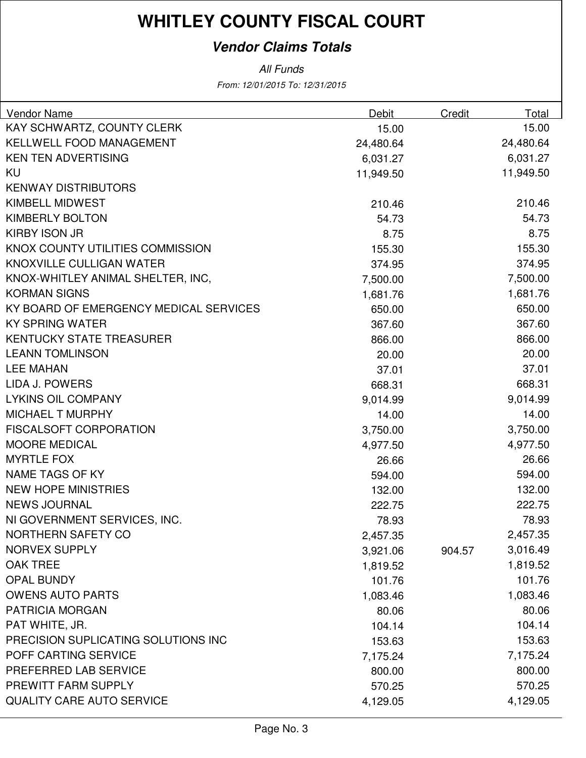### **Vendor Claims Totals**

| Vendor Name                            | Debit     | Credit | Total     |
|----------------------------------------|-----------|--------|-----------|
| KAY SCHWARTZ, COUNTY CLERK             | 15.00     |        | 15.00     |
| <b>KELLWELL FOOD MANAGEMENT</b>        | 24,480.64 |        | 24,480.64 |
| <b>KEN TEN ADVERTISING</b>             | 6,031.27  |        | 6,031.27  |
| KU                                     | 11,949.50 |        | 11,949.50 |
| <b>KENWAY DISTRIBUTORS</b>             |           |        |           |
| <b>KIMBELL MIDWEST</b>                 | 210.46    |        | 210.46    |
| <b>KIMBERLY BOLTON</b>                 | 54.73     |        | 54.73     |
| <b>KIRBY ISON JR</b>                   | 8.75      |        | 8.75      |
| KNOX COUNTY UTILITIES COMMISSION       | 155.30    |        | 155.30    |
| KNOXVILLE CULLIGAN WATER               | 374.95    |        | 374.95    |
| KNOX-WHITLEY ANIMAL SHELTER, INC,      | 7,500.00  |        | 7,500.00  |
| <b>KORMAN SIGNS</b>                    | 1,681.76  |        | 1,681.76  |
| KY BOARD OF EMERGENCY MEDICAL SERVICES | 650.00    |        | 650.00    |
| <b>KY SPRING WATER</b>                 | 367.60    |        | 367.60    |
| <b>KENTUCKY STATE TREASURER</b>        | 866.00    |        | 866.00    |
| <b>LEANN TOMLINSON</b>                 | 20.00     |        | 20.00     |
| <b>LEE MAHAN</b>                       | 37.01     |        | 37.01     |
| LIDA J. POWERS                         | 668.31    |        | 668.31    |
| <b>LYKINS OIL COMPANY</b>              | 9,014.99  |        | 9,014.99  |
| <b>MICHAEL T MURPHY</b>                | 14.00     |        | 14.00     |
| <b>FISCALSOFT CORPORATION</b>          | 3,750.00  |        | 3,750.00  |
| <b>MOORE MEDICAL</b>                   | 4,977.50  |        | 4,977.50  |
| <b>MYRTLE FOX</b>                      | 26.66     |        | 26.66     |
| <b>NAME TAGS OF KY</b>                 | 594.00    |        | 594.00    |
| <b>NEW HOPE MINISTRIES</b>             | 132.00    |        | 132.00    |
| <b>NEWS JOURNAL</b>                    | 222.75    |        | 222.75    |
| NI GOVERNMENT SERVICES, INC.           | 78.93     |        | 78.93     |
| NORTHERN SAFETY CO                     | 2,457.35  |        | 2,457.35  |
| <b>NORVEX SUPPLY</b>                   | 3,921.06  | 904.57 | 3,016.49  |
| <b>OAK TREE</b>                        | 1,819.52  |        | 1,819.52  |
| <b>OPAL BUNDY</b>                      | 101.76    |        | 101.76    |
| <b>OWENS AUTO PARTS</b>                | 1,083.46  |        | 1,083.46  |
| <b>PATRICIA MORGAN</b>                 | 80.06     |        | 80.06     |
| PAT WHITE, JR.                         | 104.14    |        | 104.14    |
| PRECISION SUPLICATING SOLUTIONS INC    | 153.63    |        | 153.63    |
| POFF CARTING SERVICE                   | 7,175.24  |        | 7,175.24  |
| PREFERRED LAB SERVICE                  | 800.00    |        | 800.00    |
| PREWITT FARM SUPPLY                    | 570.25    |        | 570.25    |
| <b>QUALITY CARE AUTO SERVICE</b>       | 4,129.05  |        | 4,129.05  |